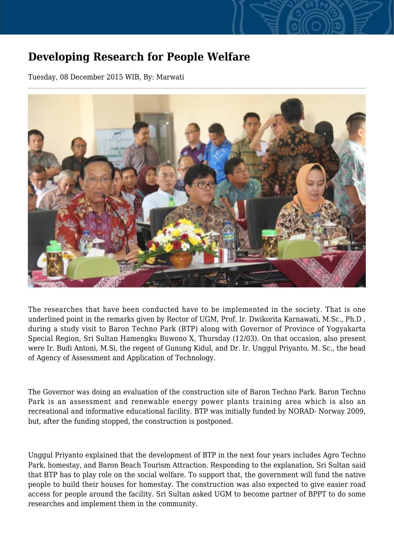## **Developing Research for People Welfare**

Tuesday, 08 December 2015 WIB, By: Marwati



The researches that have been conducted have to be implemented in the society. That is one underlined point in the remarks given by Rector of UGM, Prof. Ir. Dwikorita Karnawati, M.Sc., Ph.D , during a study visit to Baron Techno Park (BTP) along with Governor of Province of Yogyakarta Special Region, Sri Sultan Hamengku Buwono X, Thursday (12/03). On that occasion, also present were Ir. Budi Antoni, M.Si, the regent of Gunung Kidul, and Dr. Ir. Unggul Priyanto, M. Sc., the head of Agency of Assessment and Application of Technology.

The Governor was doing an evaluation of the construction site of Baron Techno Park. Baron Techno Park is an assessment and renewable energy power plants training area which is also an recreational and informative educational facility. BTP was initially funded by NORAD- Norway 2009, but, after the funding stopped, the construction is postponed.

Unggul Priyanto explained that the development of BTP in the next four years includes Agro Techno Park, homestay, and Baron Beach Tourism Attraction. Responding to the explanation, Sri Sultan said that BTP has to play role on the social welfare. To support that, the government will fund the native people to build their houses for homestay. The construction was also expected to give easier road access for people around the facility. Sri Sultan asked UGM to become partner of BPPT to do some researches and implement them in the community.